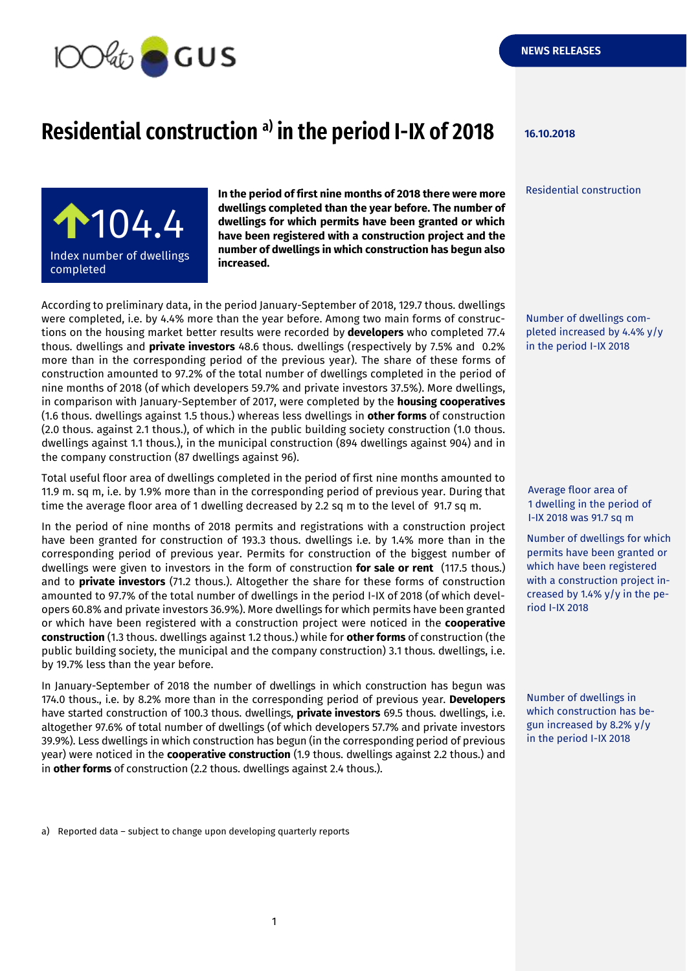

## **Residential construction 16.10.2018 a) in the period I-IX of 2018**

Residential construction



**In the period of first nine months of 2018 there were more dwellings completed than the year before. The number of dwellings for which permits have been granted or which have been registered with a construction project and the number of dwellings in which construction has begun also increased.**

According to preliminary data, in the period January-September of 2018, 129.7 thous. dwellings were completed, i.e. by 4.4% more than the year before. Among two main forms of constructions on the housing market better results were recorded by **developers** who completed 77.4 thous. dwellings and **private investors** 48.6 thous. dwellings (respectively by 7.5% and 0.2% more than in the corresponding period of the previous year). The share of these forms of construction amounted to 97.2% of the total number of dwellings completed in the period of nine months of 2018 (of which developers 59.7% and private investors 37.5%). More dwellings, in comparison with January-September of 2017, were completed by the **housing cooperatives** (1.6 thous. dwellings against 1.5 thous.) whereas less dwellings in **other forms** of construction (2.0 thous. against 2.1 thous.), of which in the public building society construction (1.0 thous. dwellings against 1.1 thous.), in the municipal construction (894 dwellings against 904) and in the company construction (87 dwellings against 96).

Total useful floor area of dwellings completed in the period of first nine months amounted to 11.9 m. sq m, i.e. by 1.9% more than in the corresponding period of previous year. During that time the average floor area of 1 dwelling decreased by 2.2 sq m to the level of 91.7 sq m.

In the period of nine months of 2018 permits and registrations with a construction project have been granted for construction of 193.3 thous. dwellings i.e. by 1.4% more than in the corresponding period of previous year. Permits for construction of the biggest number of dwellings were given to investors in the form of construction **for sale or rent** (117.5 thous.) and to **private investors** (71.2 thous.). Altogether the share for these forms of construction amounted to 97.7% of the total number of dwellings in the period I-IX of 2018 (of which developers 60.8% and private investors 36.9%). More dwellings for which permits have been granted or which have been registered with a construction project were noticed in the **cooperative construction** (1.3 thous. dwellings against 1.2 thous.) while for **other forms** of construction (the public building society, the municipal and the company construction) 3.1 thous. dwellings, i.e. by 19.7% less than the year before.

In January-September of 2018 the number of dwellings in which construction has begun was 174.0 thous., i.e. by 8.2% more than in the corresponding period of previous year. **Developers** have started construction of 100.3 thous. dwellings, **private investors** 69.5 thous. dwellings, i.e. altogether 97.6% of total number of dwellings (of which developers 57.7% and private investors 39.9%). Less dwellings in which construction has begun (in the corresponding period of previous year) were noticed in the **cooperative construction** (1.9 thous. dwellings against 2.2 thous.) and in **other forms** of construction (2.2 thous. dwellings against 2.4 thous.).

Number of dwellings completed increased by 4.4% y/y in the period I-IX 2018

Average floor area of 1 dwelling in the period of I-IX 2018 was 91.7 sq m

Number of dwellings for which permits have been granted or which have been registered with a construction project increased by 1.4% y/y in the period I-IX 2018

Number of dwellings in which construction has begun increased by 8.2% y/y in the period I-IX 2018

a) Reported data – subject to change upon developing quarterly reports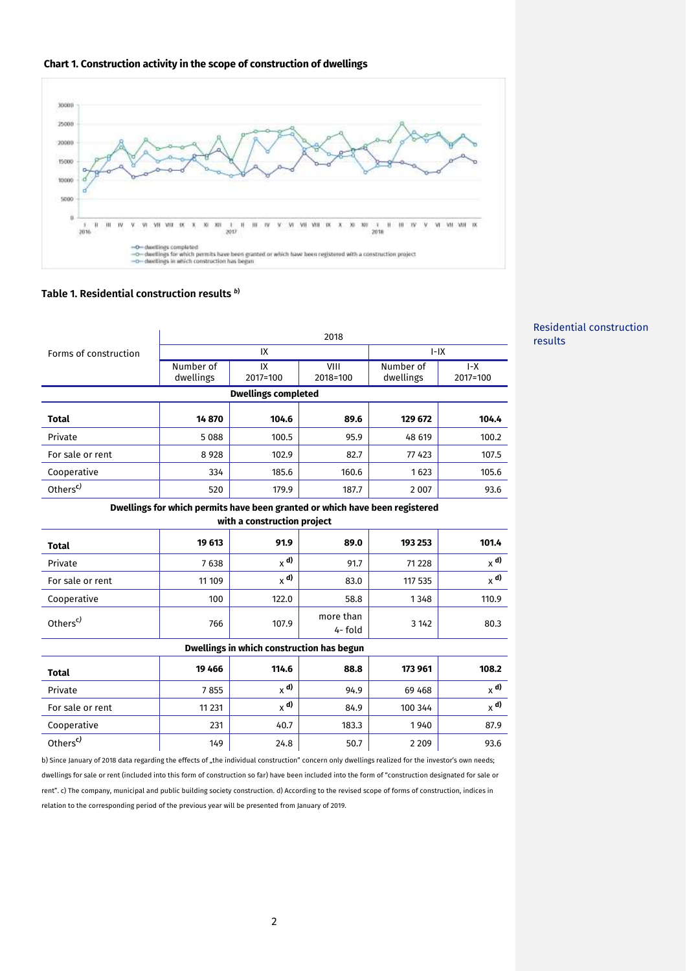



## **Table 1. Residential construction results** *<sup>b</sup>***)**

|                                                                                                            | 2018                   |                |                     |                        |                   |
|------------------------------------------------------------------------------------------------------------|------------------------|----------------|---------------------|------------------------|-------------------|
| Forms of construction                                                                                      | IX                     |                |                     | $I-IX$                 |                   |
|                                                                                                            | Number of<br>dwellings | IX<br>2017=100 | VIII<br>2018=100    | Number of<br>dwellings | $I-X$<br>2017=100 |
| <b>Dwellings completed</b>                                                                                 |                        |                |                     |                        |                   |
| <b>Total</b>                                                                                               | 14870                  | 104.6          | 89.6                | 129 672                | 104.4             |
| Private                                                                                                    | 5088                   | 100.5          | 95.9                | 48 619                 | 100.2             |
| For sale or rent                                                                                           | 8 9 2 8                | 102.9          | 82.7                | 77 423                 | 107.5             |
| Cooperative                                                                                                | 334                    | 185.6          | 160.6               | 1623                   | 105.6             |
| Others <sup>c)</sup>                                                                                       | 520                    | 179.9          | 187.7               | 2 0 0 7                | 93.6              |
| Dwellings for which permits have been granted or which have been registered<br>with a construction project |                        |                |                     |                        |                   |
| <b>Total</b>                                                                                               | 19 613                 | 91.9           | 89.0                | 193 253                | 101.4             |
| Private                                                                                                    | 7638                   | $\times$ d)    | 91.7                | 71 228                 | $_{\chi}$ d)      |
| For sale or rent                                                                                           | 11 109                 | $\times$ d)    | 83.0                | 117 535                | $_{\chi}$ d)      |
| Cooperative                                                                                                | 100                    | 122.0          | 58.8                | 1348                   | 110.9             |
| Others <sup>c)</sup>                                                                                       | 766                    | 107.9          | more than<br>4-fold | 3 1 4 2                | 80.3              |
| Dwellings in which construction has begun                                                                  |                        |                |                     |                        |                   |
| <b>Total</b>                                                                                               | 19 4 66                | 114.6          | 88.8                | 173 961                | 108.2             |
| Private                                                                                                    | 7855                   | $\times$ d)    | 94.9                | 69 4 68                | $x^{\mathbf{d}}$  |
| For sale or rent                                                                                           | 11 2 31                | $_{\chi}$ d)   | 84.9                | 100 344                | $_{\chi}$ d)      |
| Cooperative                                                                                                | 231                    | 40.7           | 183.3               | 1940                   | 87.9              |
| Others <sup>c)</sup>                                                                                       | 149                    | 24.8           | 50.7                | 2 2 0 9                | 93.6              |

b) Since January of 2018 data regarding the effects of "the individual construction" concern only dwellings realized for the investor's own needs; dwellings for sale or rent (included into this form of construction so far) have been included into the form of "construction designated for sale or rent". c) The company, municipal and public building society construction. d) According to the revised scope of forms of construction, indices in relation to the corresponding period of the previous year will be presented from January of 2019.

## Residential construction results